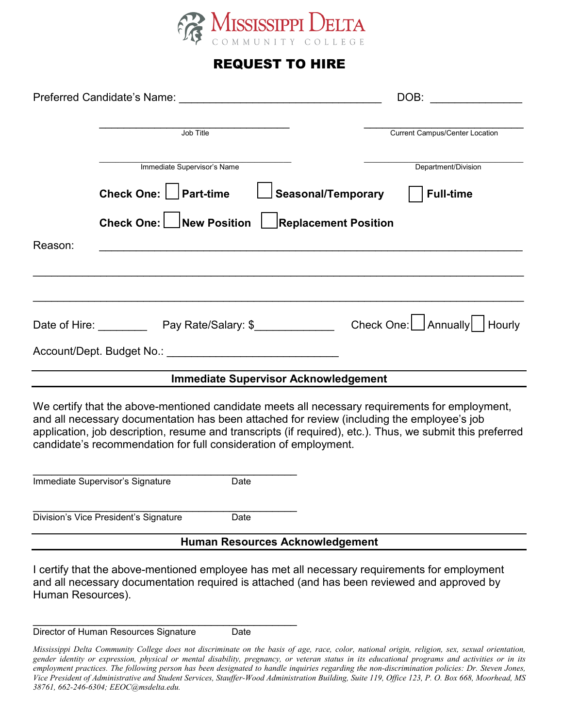

## REQUEST TO HIRE

| Preferred Candidate's Name: Name and the control of the control of the control of the control of the control of the control of the control of the control of the control of the control of the control of the control of the c                                                                                                                                                |                                                                                                                                                                                              |      |                                             | DOB:                           |  |  |  |
|-------------------------------------------------------------------------------------------------------------------------------------------------------------------------------------------------------------------------------------------------------------------------------------------------------------------------------------------------------------------------------|----------------------------------------------------------------------------------------------------------------------------------------------------------------------------------------------|------|---------------------------------------------|--------------------------------|--|--|--|
|                                                                                                                                                                                                                                                                                                                                                                               | Job Title                                                                                                                                                                                    |      |                                             | Current Campus/Center Location |  |  |  |
|                                                                                                                                                                                                                                                                                                                                                                               | Immediate Supervisor's Name                                                                                                                                                                  |      |                                             | Department/Division            |  |  |  |
|                                                                                                                                                                                                                                                                                                                                                                               | Check One:     Part-time                                                                                                                                                                     |      | <b>Seasonal/Temporary</b>                   | <b>Full-time</b>               |  |  |  |
|                                                                                                                                                                                                                                                                                                                                                                               | Check One: New Position                                                                                                                                                                      |      | <b>Replacement Position</b>                 |                                |  |  |  |
| Reason:                                                                                                                                                                                                                                                                                                                                                                       |                                                                                                                                                                                              |      |                                             |                                |  |  |  |
|                                                                                                                                                                                                                                                                                                                                                                               |                                                                                                                                                                                              |      |                                             |                                |  |  |  |
|                                                                                                                                                                                                                                                                                                                                                                               | Date of Hire: _______________Pay Rate/Salary: \$______________________Check One: __  Annually   Thourly                                                                                      |      |                                             |                                |  |  |  |
|                                                                                                                                                                                                                                                                                                                                                                               |                                                                                                                                                                                              |      |                                             |                                |  |  |  |
|                                                                                                                                                                                                                                                                                                                                                                               |                                                                                                                                                                                              |      | <b>Immediate Supervisor Acknowledgement</b> |                                |  |  |  |
| We certify that the above-mentioned candidate meets all necessary requirements for employment,<br>and all necessary documentation has been attached for review (including the employee's job<br>application, job description, resume and transcripts (if required), etc.). Thus, we submit this preferred<br>candidate's recommendation for full consideration of employment. |                                                                                                                                                                                              |      |                                             |                                |  |  |  |
|                                                                                                                                                                                                                                                                                                                                                                               | Immediate Supervisor's Signature                                                                                                                                                             | Date |                                             |                                |  |  |  |
|                                                                                                                                                                                                                                                                                                                                                                               | Division's Vice President's Signature                                                                                                                                                        | Date |                                             |                                |  |  |  |
| <b>Human Resources Acknowledgement</b>                                                                                                                                                                                                                                                                                                                                        |                                                                                                                                                                                              |      |                                             |                                |  |  |  |
| Human Resources).                                                                                                                                                                                                                                                                                                                                                             | I certify that the above-mentioned employee has met all necessary requirements for employment<br>and all necessary documentation required is attached (and has been reviewed and approved by |      |                                             |                                |  |  |  |

\_\_\_\_\_\_\_\_\_\_\_\_\_\_\_\_\_\_\_\_\_\_\_\_\_\_\_\_\_\_\_\_\_\_\_\_\_\_\_\_\_\_\_ Director of Human Resources Signature Date

*Mississippi Delta Community College does not discriminate on the basis of age, race, color, national origin, religion, sex, sexual orientation, gender identity or expression, physical or mental disability, pregnancy, or veteran status in its educational programs and activities or in its employment practices. The following person has been designated to handle inquiries regarding the non-discrimination policies: Dr. Steven Jones, Vice President of Administrative and Student Services, Stauffer-Wood Administration Building, Suite 119, Office 123, P. O. Box 668, Moorhead, MS 38761, 662-246-6304; EEOC@msdelta.edu.*